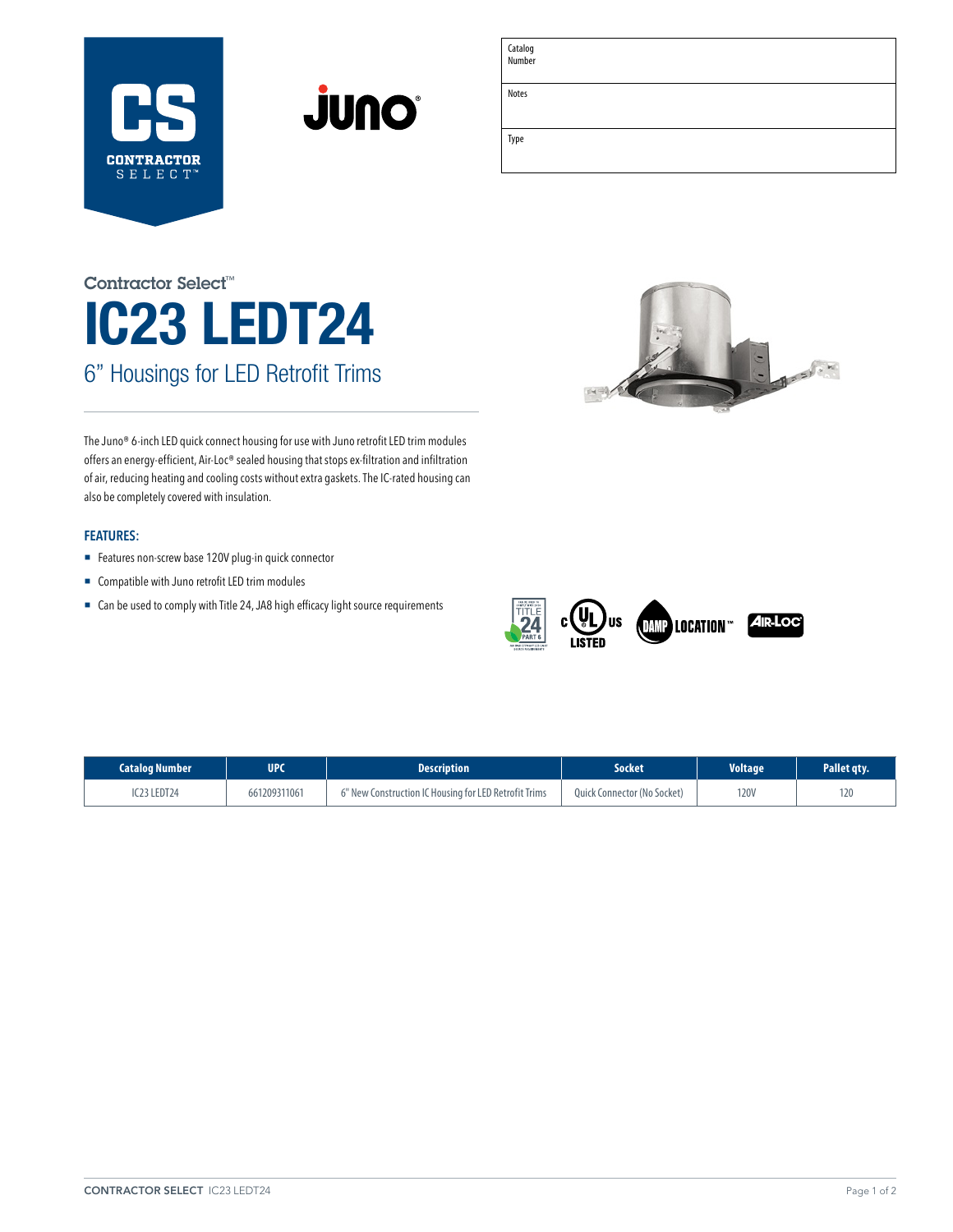



# IC23 LEDT24 6" Housings for LED Retrofit Trims Contractor Select™



The Juno® 6-inch LED quick connect housing for use with Juno retrofit LED trim modules offers an energy-efficient, Air-Loc® sealed housing that stops ex-filtration and infiltration of air, reducing heating and cooling costs without extra gaskets. The IC-rated housing can also be completely covered with insulation.

### **FEATURES:**

- Features non-screw base 120V plug-in quick connector
- Compatible with Juno retrofit LED trim modules
- Can be used to comply with Title 24, JA8 high efficacy light source requirements



| <b>Catalog Number</b> | UPC          | <b>Description</b>                                    | Socket                      | <b>Voltage</b> | Pallet gty. |
|-----------------------|--------------|-------------------------------------------------------|-----------------------------|----------------|-------------|
| IC23 LEDT24           | 661209311061 | 6" New Construction IC Housing for LED Retrofit Trims | Quick Connector (No Socket) | <b>120V</b>    | 120         |

Catalog Number Notes

Type